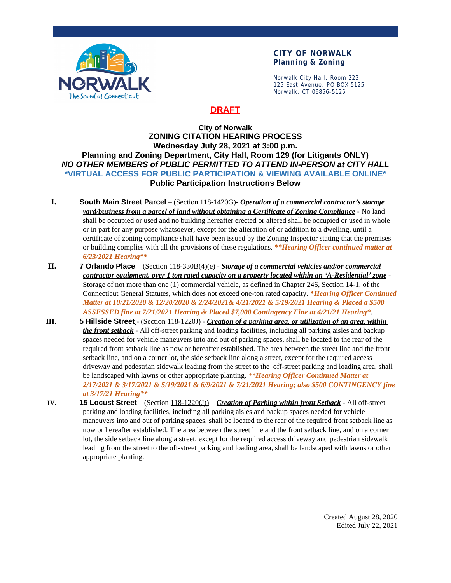

#### **CITY OF NORWALK Planning & Zoning**

Norwalk City Hall, Room 223 125 East Avenue, PO BOX 5125 Norwalk, CT 06856-5125

## **DRAFT**

#### **City of Norwalk ZONING CITATION HEARING PROCESS Wednesday July 28, 2021 at 3:00 p.m. Planning and Zoning Department, City Hall, Room 129 (for Litigants ONLY)** *NO OTHER MEMBERS of PUBLIC PERMITTED TO ATTEND IN-PERSON at CITY HALL* **\*VIRTUAL ACCESS FOR PUBLIC PARTICIPATION & VIEWING AVAILABLE ONLINE\* Public Participation Instructions Below**

- **I. South Main Street Parcel** (Section 118-1420G)- *Operation of a commercial contractor's storage yard/business from a parcel of land without obtaining a Certificate of Zoning Compliance* - No land shall be occupied or used and no building hereafter erected or altered shall be occupied or used in whole or in part for any purpose whatsoever, except for the alteration of or addition to a dwelling, until a certificate of zoning compliance shall have been issued by the Zoning Inspector stating that the premises or building complies with all the provisions of these regulations. *\*\*Hearing Officer continued matter at 6/23/2021 Hearing\*\**
- **II. 7 Orlando Place** (Section 118-330B(4)(e) *Storage of a commercial vehicles and/or commercial contractor equipment, over 1 ton rated capacity on a property located within an 'A-Residential' zone* - Storage of not more than one (1) commercial vehicle, as defined in Chapter 246, Section 14-1, of the Connecticut General Statutes, which does not exceed one-ton rated capacity. *\*Hearing Officer Continued Matter at 10/21/2020 & 12/20/2020 & 2/24/2021& 4/21/2021 & 5/19/2021 Hearing & Placed a \$500 ASSESSED fine at 7/21/2021 Hearing & Placed \$7,000 Contingency Fine at 4/21/21 Hearing\**.
- **III. 5 Hillside Street** (Section 118-1220J) *Creation of a parking area, or utilization of an area, within the front setback* - All off-street parking and loading facilities, including all parking aisles and backup spaces needed for vehicle maneuvers into and out of parking spaces, shall be located to the rear of the required front setback line as now or hereafter established. The area between the street line and the front setback line, and on a corner lot, the side setback line along a street, except for the required access driveway and pedestrian sidewalk leading from the street to the off-street parking and loading area, shall be landscaped with lawns or other appropriate planting. *\*\*Hearing Officer Continued Matter at 2/17/2021 & 3/17/2021 & 5/19/2021 & 6/9/2021 & 7/21/2021 Hearing; also \$500 CONTINGENCY fine at 3/17/21 Hearing\*\**
- **IV. 15 Locust Street** (Section 118-1220(J)) *Creation of Parking within front Setback* All off-street parking and loading facilities, including all parking aisles and backup spaces needed for vehicle maneuvers into and out of parking spaces, shall be located to the rear of the required front setback line as now or hereafter established. The area between the street line and the front setback line, and on a corner lot, the side setback line along a street, except for the required access driveway and pedestrian sidewalk leading from the street to the off-street parking and loading area, shall be landscaped with lawns or other appropriate planting.

Created August 28, 2020 Edited July 22, 2021